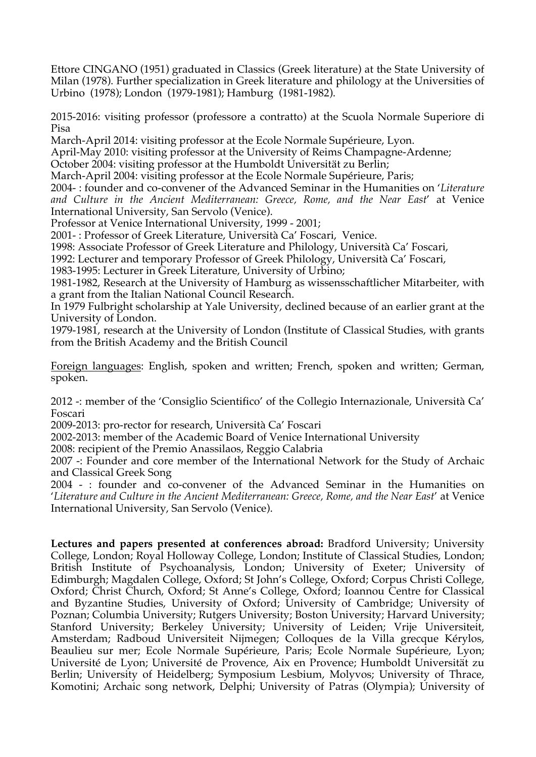Ettore CINGANO (1951) graduated in Classics (Greek literature) at the State University of Milan (1978). Further specialization in Greek literature and philology at the Universities of Urbino (1978); London (1979-1981); Hamburg (1981-1982).

2015-2016: visiting professor (professore a contratto) at the Scuola Normale Superiore di Pisa

March-April 2014: visiting professor at the Ecole Normale Supérieure, Lyon.

April-May 2010: visiting professor at the University of Reims Champagne-Ardenne;

October 2004: visiting professor at the Humboldt Universität zu Berlin;

March-April 2004: visiting professor at the Ecole Normale Supérieure, Paris;

2004- : founder and co-convener of the Advanced Seminar in the Humanities on '*Literature and Culture in the Ancient Mediterranean: Greece, Rome, and the Near East*' at Venice International University, San Servolo (Venice).

Professor at Venice International University, 1999 - 2001;

2001- : Professor of Greek Literature, Università Ca' Foscari, Venice.

1998: Associate Professor of Greek Literature and Philology, Università Ca' Foscari,

1992: Lecturer and temporary Professor of Greek Philology, Università Ca' Foscari,

1983-1995: Lecturer in Greek Literature, University of Urbino;

1981-1982, Research at the University of Hamburg as wissensschaftlicher Mitarbeiter, with a grant from the Italian National Council Research.

In 1979 Fulbright scholarship at Yale University, declined because of an earlier grant at the University of London.

1979-1981, research at the University of London (Institute of Classical Studies, with grants from the British Academy and the British Council

Foreign languages: English, spoken and written; French, spoken and written; German, spoken.

2012 -: member of the 'Consiglio Scientifico' of the Collegio Internazionale, Università Ca' Foscari

2009-2013: pro-rector for research, Università Ca' Foscari

2002-2013: member of the Academic Board of Venice International University

2008: recipient of the Premio Anassilaos, Reggio Calabria

2007 -: Founder and core member of the International Network for the Study of Archaic and Classical Greek Song

2004 - : founder and co-convener of the Advanced Seminar in the Humanities on '*Literature and Culture in the Ancient Mediterranean: Greece, Rome, and the Near East*' at Venice International University, San Servolo (Venice).

**Lectures and papers presented at conferences abroad:** Bradford University; University College, London; Royal Holloway College, London; Institute of Classical Studies, London; British Institute of Psychoanalysis, London; University of Exeter; University of Edimburgh; Magdalen College, Oxford; St John's College, Oxford; Corpus Christi College, Oxford; Christ Church, Oxford; St Anne's College, Oxford; Ioannou Centre for Classical and Byzantine Studies, University of Oxford; University of Cambridge; University of Poznan; Columbia University; Rutgers University; Boston University; Harvard University; Stanford University; Berkeley University; University of Leiden; Vrije Universiteit, Amsterdam; Radboud Universiteit Nijmegen; Colloques de la Villa grecque Kérylos, Beaulieu sur mer; Ecole Normale Supérieure, Paris; Ecole Normale Supérieure, Lyon; Université de Lyon; Université de Provence, Aix en Provence; Humboldt Universität zu Berlin; University of Heidelberg; Symposium Lesbium, Molyvos; University of Thrace, Komotini; Archaic song network, Delphi; University of Patras (Olympia); University of